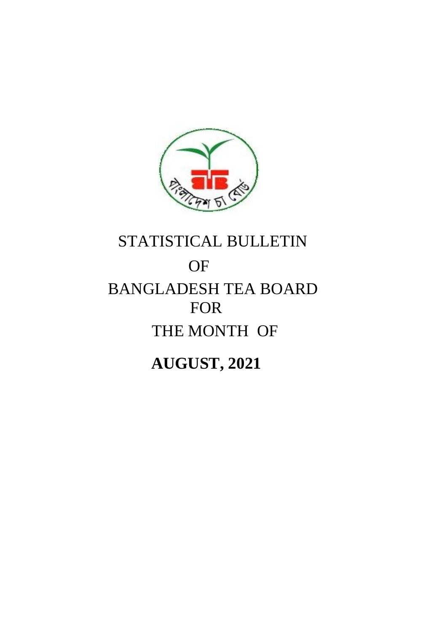

# STATISTICAL BULLETIN **OF** BANGLADESH TEA BOARD FOR THE MONTH OF

**AUGUST, 2021**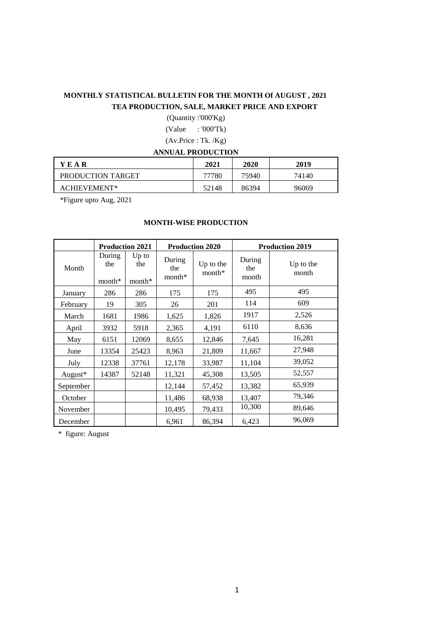### **MONTHLY STATISTICAL BULLETIN FOR THE MONTH Of AUGUST , 2021 TEA PRODUCTION, SALE, MARKET PRICE AND EXPORT**

(Quantity :'000'Kg) (Value : '000'Tk)

(Av.Price : Tk. /Kg)

#### **ANNUAL PRODUCTION**

| <b>YEAR</b>       | 2021  | 2020  | 2019  |
|-------------------|-------|-------|-------|
| PRODUCTION TARGET | 77780 | 75940 | 74140 |
| ACHIEVEMENT*      | 52148 | 86394 | 96069 |

\*Figure upto Aug, 2021

#### **MONTH-WISE PRODUCTION**

|           | <b>Production 2021</b>    |                            |                           | <b>Production 2020</b> |                        | <b>Production 2019</b> |
|-----------|---------------------------|----------------------------|---------------------------|------------------------|------------------------|------------------------|
| Month     | During<br>the<br>$month*$ | $Up$ to<br>the<br>$month*$ | During<br>the<br>$month*$ | Up to the<br>month*    | During<br>the<br>month | Up to the<br>month     |
| January   | 286                       | 286                        | 175                       | 175                    | 495                    | 495                    |
| February  | 19                        | 305                        | 26                        | 201                    | 114                    | 609                    |
| March     | 1681                      | 1986                       | 1,625                     | 1,826                  | 1917                   | 2,526                  |
| April     | 3932                      | 5918                       | 2,365                     | 4,191                  | 6110                   | 8,636                  |
| May       | 6151                      | 12069                      | 8,655                     | 12,846                 | 7,645                  | 16,281                 |
| June      | 13354                     | 25423                      | 8,963                     | 21,809                 | 11,667                 | 27,948                 |
| July      | 12338                     | 37761                      | 12,178                    | 33,987                 | 11,104                 | 39,052                 |
| August*   | 14387                     | 52148                      | 11,321                    | 45,308                 | 13,505                 | 52,557                 |
| September |                           |                            | 12,144                    | 57,452                 | 13,382                 | 65,939                 |
| October   |                           |                            | 11,486                    | 68,938                 | 13,407                 | 79,346                 |
| November  |                           |                            | 10,495                    | 79,433                 | 10,300                 | 89,646                 |
| December  |                           |                            | 6,961                     | 86,394                 | 6,423                  | 96,069                 |

\* figure: August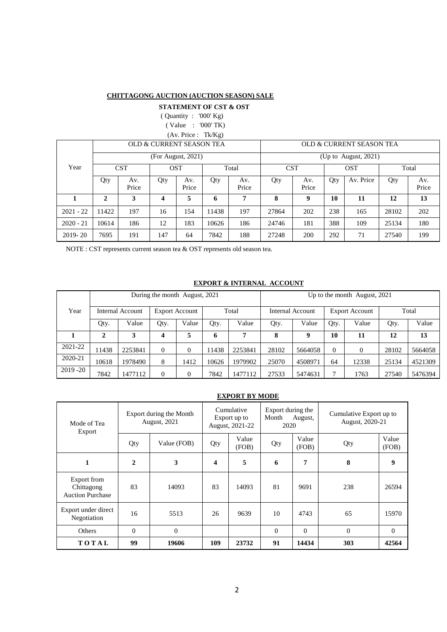#### **CHITTAGONG AUCTION (AUCTION SEASON) SALE**

 **STATEMENT OF CST & OST** 

 ( Quantity : '000' Kg) ( Value : '000' TK)

(Av. Price : Tk/Kg)

|             |              |              | OLD & CURRENT SEASON TEA |                    |       |              | OLD & CURRENT SEASON TEA |              |     |                         |       |              |  |
|-------------|--------------|--------------|--------------------------|--------------------|-------|--------------|--------------------------|--------------|-----|-------------------------|-------|--------------|--|
|             |              |              |                          | (For August, 2021) |       |              |                          |              |     | (Up to August, $2021$ ) |       |              |  |
| Year        |              | <b>CST</b>   | <b>OST</b>               |                    |       | Total        | <b>CST</b>               |              |     | <b>OST</b>              | Total |              |  |
|             | Qty          | Av.<br>Price | Qty                      | Av.<br>Price       | Qty   | Av.<br>Price | Qty                      | Av.<br>Price | Qty | Av. Price               | Qty   | Av.<br>Price |  |
|             | $\mathbf{2}$ | 3            | 4                        | 5                  | 6     | п            | 8                        |              | 10  | 11                      | 12    | 13           |  |
| $2021 - 22$ | 11422        | 197          | 16                       | 154                | 11438 | 197          | 27864                    | 202          | 238 | 165                     | 28102 | 202          |  |
| $2020 - 21$ | 10614        | 186          | 12                       | 183                | 10626 | 186          | 24746                    | 181          | 388 | 109                     | 25134 | 180          |  |
| $2019 - 20$ | 7695         | 191          | 147                      | 64                 | 7842  | 188          | 27248                    | 200          | 292 | 71                      | 27540 | 199          |  |

NOTE : CST represents current season tea & OST represents old season tea.

#### **EXPORT & INTERNAL ACCOUNT**

|             |              |                  | During the month August, 2021 |                       | Up to the month August, 2021 |         |                                           |         |                |          |       |         |
|-------------|--------------|------------------|-------------------------------|-----------------------|------------------------------|---------|-------------------------------------------|---------|----------------|----------|-------|---------|
| Year        |              | Internal Account |                               | <b>Export Account</b> |                              | Total   | Internal Account<br><b>Export Account</b> |         |                |          | Total |         |
|             | Qty.         | Value            | Qty.                          | Value                 | Qty.                         | Value   | Qty.                                      | Value   |                | Value    | Qty.  | Value   |
|             | $\mathbf{2}$ | 3                | 4                             | 5                     | 6                            | 7       | 8                                         | 9       | 10             | 11       | 12    | 13      |
| 2021-22     | 11438        | 2253841          | $\Omega$                      | 0                     | 11438                        | 2253841 | 28102                                     | 5664058 | $\overline{0}$ | $\Omega$ | 28102 | 5664058 |
| 2020-21     | 10618        | 1978490          | 8                             | 1412                  | 10626                        | 1979902 | 25070                                     | 4508971 | 64             | 12338    | 25134 | 4521309 |
| $2019 - 20$ | 7842         | 1477112          | $\Omega$                      | 0                     | 7842                         | 1477112 | 27533                                     | 5474631 | 7              | 1763     | 27540 | 5476394 |

#### **EXPORT BY MODE**

| Mode of Tea<br>Export                                |                | Export during the Month<br>August, 2021 |     | Cumulative<br>Export up to<br>August, 2021-22 | Export during the<br>Month<br>2020 | August,        | Cumulative Export up to<br>August, 2020-21 |                |  |
|------------------------------------------------------|----------------|-----------------------------------------|-----|-----------------------------------------------|------------------------------------|----------------|--------------------------------------------|----------------|--|
|                                                      | Qty            | Value (FOB)                             | Qty | Value<br>(FOB)                                | Qty                                | Value<br>(FOB) | Qty                                        | Value<br>(FOB) |  |
| 1                                                    | $\overline{2}$ | 3                                       | 4   | 5                                             | 6                                  | 7              | 8                                          | 9              |  |
| Export from<br>Chittagong<br><b>Auction Purchase</b> | 83             | 14093                                   | 83  | 14093                                         | 81                                 | 9691           | 238                                        | 26594          |  |
| Export under direct<br>Negotiation                   | 16             | 5513                                    | 26  | 9639                                          | 10                                 | 4743           | 65                                         | 15970          |  |
| Others                                               | $\theta$       | $\theta$                                |     |                                               | $\Omega$                           | $\Omega$       | $\theta$                                   | $\Omega$       |  |
| TOTAL                                                | 99             | 19606                                   | 109 | 23732                                         | 91                                 | 14434          | 303                                        | 42564          |  |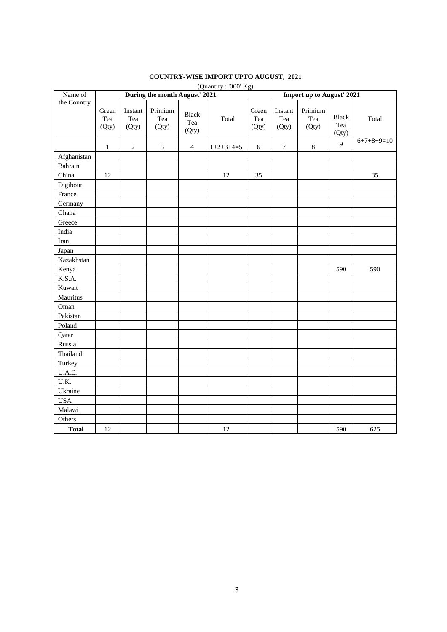| Name of      | $\sqrt{2}$<br>During the month August' 2021 |                         |                         |                              |             |                       | <b>Import up to August' 2021</b> |                         |                              |              |  |  |  |
|--------------|---------------------------------------------|-------------------------|-------------------------|------------------------------|-------------|-----------------------|----------------------------------|-------------------------|------------------------------|--------------|--|--|--|
| the Country  | Green<br>Tea<br>(Qty)                       | Instant<br>Tea<br>(Qty) | Primium<br>Tea<br>(Qty) | <b>Black</b><br>Tea<br>(Qty) | Total       | Green<br>Tea<br>(Qty) | Instant<br>Tea<br>(Qty)          | Primium<br>Tea<br>(Qty) | <b>Black</b><br>Tea<br>(Qty) | Total        |  |  |  |
|              | $\mathbf{1}$                                | $\sqrt{2}$              | $\mathfrak{Z}$          | $\overline{4}$               | $1+2+3+4=5$ | $\sqrt{6}$            | $\boldsymbol{7}$                 | $\,8\,$                 | 9                            | $6+7+8+9=10$ |  |  |  |
| Afghanistan  |                                             |                         |                         |                              |             |                       |                                  |                         |                              |              |  |  |  |
| Bahrain      |                                             |                         |                         |                              |             |                       |                                  |                         |                              |              |  |  |  |
| China        | 12                                          |                         |                         |                              | 12          | 35                    |                                  |                         |                              | 35           |  |  |  |
| Digibouti    |                                             |                         |                         |                              |             |                       |                                  |                         |                              |              |  |  |  |
| France       |                                             |                         |                         |                              |             |                       |                                  |                         |                              |              |  |  |  |
| Germany      |                                             |                         |                         |                              |             |                       |                                  |                         |                              |              |  |  |  |
| Ghana        |                                             |                         |                         |                              |             |                       |                                  |                         |                              |              |  |  |  |
| Greece       |                                             |                         |                         |                              |             |                       |                                  |                         |                              |              |  |  |  |
| India        |                                             |                         |                         |                              |             |                       |                                  |                         |                              |              |  |  |  |
| Iran         |                                             |                         |                         |                              |             |                       |                                  |                         |                              |              |  |  |  |
| Japan        |                                             |                         |                         |                              |             |                       |                                  |                         |                              |              |  |  |  |
| Kazakhstan   |                                             |                         |                         |                              |             |                       |                                  |                         |                              |              |  |  |  |
| Kenya        |                                             |                         |                         |                              |             |                       |                                  |                         | 590                          | 590          |  |  |  |
| K.S.A.       |                                             |                         |                         |                              |             |                       |                                  |                         |                              |              |  |  |  |
| Kuwait       |                                             |                         |                         |                              |             |                       |                                  |                         |                              |              |  |  |  |
| Mauritus     |                                             |                         |                         |                              |             |                       |                                  |                         |                              |              |  |  |  |
| Oman         |                                             |                         |                         |                              |             |                       |                                  |                         |                              |              |  |  |  |
| Pakistan     |                                             |                         |                         |                              |             |                       |                                  |                         |                              |              |  |  |  |
| Poland       |                                             |                         |                         |                              |             |                       |                                  |                         |                              |              |  |  |  |
| Qatar        |                                             |                         |                         |                              |             |                       |                                  |                         |                              |              |  |  |  |
| Russia       |                                             |                         |                         |                              |             |                       |                                  |                         |                              |              |  |  |  |
| Thailand     |                                             |                         |                         |                              |             |                       |                                  |                         |                              |              |  |  |  |
| Turkey       |                                             |                         |                         |                              |             |                       |                                  |                         |                              |              |  |  |  |
| U.A.E.       |                                             |                         |                         |                              |             |                       |                                  |                         |                              |              |  |  |  |
| U.K.         |                                             |                         |                         |                              |             |                       |                                  |                         |                              |              |  |  |  |
| Ukraine      |                                             |                         |                         |                              |             |                       |                                  |                         |                              |              |  |  |  |
| <b>USA</b>   |                                             |                         |                         |                              |             |                       |                                  |                         |                              |              |  |  |  |
| Malawi       |                                             |                         |                         |                              |             |                       |                                  |                         |                              |              |  |  |  |
| Others       |                                             |                         |                         |                              |             |                       |                                  |                         |                              |              |  |  |  |
| <b>Total</b> | 12                                          |                         |                         |                              | 12          |                       |                                  |                         | 590                          | 625          |  |  |  |

#### **COUNTRY-WISE IMPORT UPTO AUGUST, 2021** (Quantity : '000'  $Kg$ )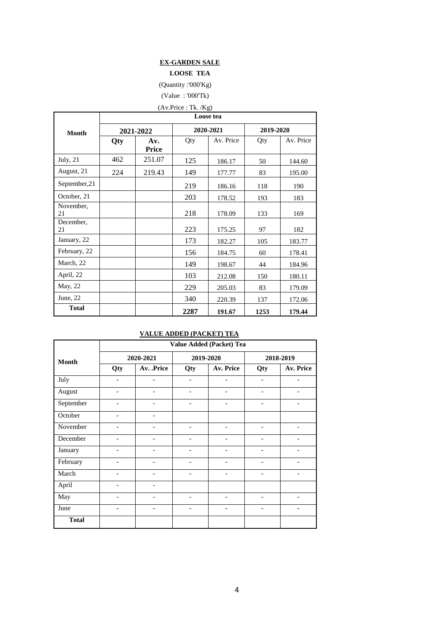#### **EX-GARDEN SALE**

#### **LOOSE TEA**

(Quantity :'000'Kg)

(Value : '000'Tk)

## (Av.Price : Tk. /Kg)

|                 | Loose tea |              |      |           |           |           |  |  |  |  |  |  |
|-----------------|-----------|--------------|------|-----------|-----------|-----------|--|--|--|--|--|--|
| <b>Month</b>    |           | 2021-2022    |      | 2020-2021 | 2019-2020 |           |  |  |  |  |  |  |
|                 | Qty       | Av.<br>Price | Qty  | Av. Price | Qty       | Av. Price |  |  |  |  |  |  |
| July, $21$      | 462       | 251.07       | 125  | 186.17    | 50        | 144.60    |  |  |  |  |  |  |
| August, 21      | 224       | 219.43       | 149  | 177.77    | 83        | 195.00    |  |  |  |  |  |  |
| September, 21   |           |              | 219  | 186.16    | 118       | 190       |  |  |  |  |  |  |
| October, 21     |           |              | 203  | 178.52    | 193       | 183       |  |  |  |  |  |  |
| November,<br>21 |           |              | 218  | 178.09    | 133       | 169       |  |  |  |  |  |  |
| December,<br>21 |           |              | 223  | 175.25    | 97        | 182       |  |  |  |  |  |  |
| January, 22     |           |              | 173  | 182.27    | 105       | 183.77    |  |  |  |  |  |  |
| February, 22    |           |              | 156  | 184.75    | 60        | 178.41    |  |  |  |  |  |  |
| March, 22       |           |              | 149  | 198.67    | 44        | 184.96    |  |  |  |  |  |  |
| April, 22       |           |              | 103  | 212.08    | 150       | 180.11    |  |  |  |  |  |  |
| May, 22         |           |              | 229  | 205.03    | 83        | 179.09    |  |  |  |  |  |  |
| June, $22$      |           |              | 340  | 220.39    | 137       | 172.06    |  |  |  |  |  |  |
| <b>Total</b>    |           |              | 2287 | 191.67    | 1253      | 179.44    |  |  |  |  |  |  |

#### **VALUE ADDED (PACKET) TEA**

|                                                                                                                                                        |                              | Value Added (Packet) Tea |                          |                              |                              |                              |  |  |  |  |  |  |
|--------------------------------------------------------------------------------------------------------------------------------------------------------|------------------------------|--------------------------|--------------------------|------------------------------|------------------------------|------------------------------|--|--|--|--|--|--|
|                                                                                                                                                        |                              | 2020-2021                |                          | 2019-2020                    |                              | 2018-2019                    |  |  |  |  |  |  |
| <b>Month</b><br>July<br>August<br>September<br>October<br>November<br>December<br>January<br>February<br>March<br>April<br>May<br>June<br><b>Total</b> | Qty                          | Av. .Price               | Qty                      | Av. Price                    | Qty                          | Av. Price                    |  |  |  |  |  |  |
|                                                                                                                                                        | $\qquad \qquad -$            | $\overline{\phantom{a}}$ | $\overline{\phantom{0}}$ | $\overline{\phantom{a}}$     | $\overline{\phantom{a}}$     | $\overline{\phantom{a}}$     |  |  |  |  |  |  |
|                                                                                                                                                        | $\qquad \qquad -$            | $\overline{\phantom{a}}$ | $\overline{a}$           | $\overline{\phantom{0}}$     | $\overline{\phantom{0}}$     |                              |  |  |  |  |  |  |
|                                                                                                                                                        | $\qquad \qquad -$            | $\overline{\phantom{a}}$ | $\overline{a}$           | $\qquad \qquad -$            | $\qquad \qquad -$            |                              |  |  |  |  |  |  |
|                                                                                                                                                        | $\overline{\phantom{a}}$     | $\overline{\phantom{a}}$ |                          |                              |                              |                              |  |  |  |  |  |  |
|                                                                                                                                                        | $\qquad \qquad -$            | $\overline{\phantom{a}}$ | $\overline{\phantom{a}}$ | $\qquad \qquad -$            | $\overline{\phantom{0}}$     | $\overline{a}$               |  |  |  |  |  |  |
|                                                                                                                                                        | $\qquad \qquad \blacksquare$ | $\overline{\phantom{a}}$ |                          | $\overline{a}$               | $\overline{\phantom{0}}$     |                              |  |  |  |  |  |  |
|                                                                                                                                                        | $\overline{\phantom{0}}$     | $\overline{\phantom{a}}$ | $\overline{a}$           | $\overline{\phantom{0}}$     | $\overline{a}$               |                              |  |  |  |  |  |  |
|                                                                                                                                                        | $\overline{\phantom{a}}$     | $\overline{\phantom{a}}$ | $\overline{\phantom{a}}$ | $\overline{\phantom{a}}$     | $\overline{\phantom{a}}$     | $\qquad \qquad \blacksquare$ |  |  |  |  |  |  |
|                                                                                                                                                        |                              |                          |                          |                              | $\overline{\phantom{0}}$     |                              |  |  |  |  |  |  |
|                                                                                                                                                        | $\qquad \qquad \blacksquare$ | $\overline{\phantom{a}}$ |                          |                              |                              |                              |  |  |  |  |  |  |
|                                                                                                                                                        | $\overline{\phantom{0}}$     | $\overline{\phantom{a}}$ | $\overline{\phantom{a}}$ | $\overline{\phantom{0}}$     | $\qquad \qquad -$            | $\qquad \qquad -$            |  |  |  |  |  |  |
|                                                                                                                                                        | $\qquad \qquad \blacksquare$ | $\overline{\phantom{a}}$ | $\overline{\phantom{0}}$ | $\qquad \qquad \blacksquare$ | $\qquad \qquad \blacksquare$ | $\qquad \qquad \blacksquare$ |  |  |  |  |  |  |
|                                                                                                                                                        |                              |                          |                          |                              |                              |                              |  |  |  |  |  |  |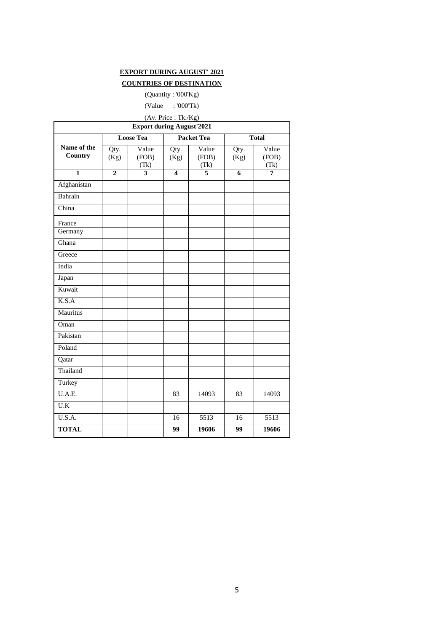#### **EXPORT DURING AUGUST' 2021**

#### **COUNTRIES OF DESTINATION**

#### (Quantity : '000'Kg)

(Value : '000'Tk)

(Av. Price : Tk./Kg)

|                        |                | <b>Export during August'2021</b> |                         |                        |                 |                        |
|------------------------|----------------|----------------------------------|-------------------------|------------------------|-----------------|------------------------|
|                        |                | <b>Loose Tea</b>                 |                         | <b>Packet Tea</b>      |                 | <b>Total</b>           |
| Name of the<br>Country | Qty.<br>(Kg)   | Value<br>(FOB)<br>(Tk)           | Qty.<br>(Kg)            | Value<br>(FOB)<br>(Tk) | Qty.<br>(Kg)    | Value<br>(FOB)<br>(Tk) |
| $\mathbf{1}$           | $\overline{2}$ | 3                                | $\overline{\mathbf{4}}$ | 5                      | 6               | $\overline{7}$         |
| Afghanistan            |                |                                  |                         |                        |                 |                        |
| Bahrain                |                |                                  |                         |                        |                 |                        |
| China                  |                |                                  |                         |                        |                 |                        |
| France<br>Germany      |                |                                  |                         |                        |                 |                        |
| Ghana                  |                |                                  |                         |                        |                 |                        |
| Greece                 |                |                                  |                         |                        |                 |                        |
| India                  |                |                                  |                         |                        |                 |                        |
| Japan                  |                |                                  |                         |                        |                 |                        |
| Kuwait                 |                |                                  |                         |                        |                 |                        |
| K.S.A                  |                |                                  |                         |                        |                 |                        |
| Mauritus               |                |                                  |                         |                        |                 |                        |
| Oman                   |                |                                  |                         |                        |                 |                        |
| Pakistan               |                |                                  |                         |                        |                 |                        |
| Poland                 |                |                                  |                         |                        |                 |                        |
| Qatar                  |                |                                  |                         |                        |                 |                        |
| Thailand               |                |                                  |                         |                        |                 |                        |
| Turkey                 |                |                                  |                         |                        |                 |                        |
| U.A.E.                 |                |                                  | 83                      | 14093                  | 83              | 14093                  |
| $\overline{U.K}$       |                |                                  |                         |                        |                 |                        |
| U.S.A.                 |                |                                  | 16                      | 5513                   | 16              | 5513                   |
| <b>TOTAL</b>           |                |                                  | $\overline{99}$         | 19606                  | $\overline{99}$ | 19606                  |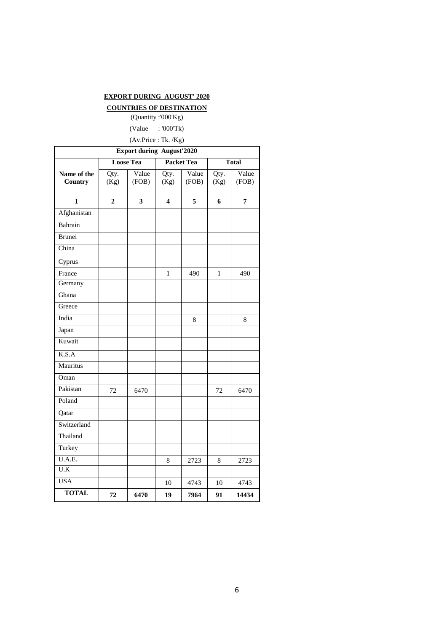#### **EXPORT DURING AUGUST' 2020**

#### **COUNTRIES OF DESTINATION**

(Quantity :'000'Kg) (Value : '000'Tk)

(Av.Price : Tk. /Kg)

|                         | <b>Export during August'2020</b> |                         |              |                   |              |                |  |  |  |  |  |  |
|-------------------------|----------------------------------|-------------------------|--------------|-------------------|--------------|----------------|--|--|--|--|--|--|
|                         |                                  | <b>Loose Tea</b>        |              | <b>Packet Tea</b> |              | <b>Total</b>   |  |  |  |  |  |  |
| Name of the<br>Country  | Qty.<br>(Kg)                     | Value<br>(FOB)          | Qty.<br>(Kg) | Value<br>(FOB)    | Qty.<br>(Kg) | Value<br>(FOB) |  |  |  |  |  |  |
| $\overline{\mathbf{1}}$ | $\overline{\mathbf{c}}$          | $\overline{\mathbf{3}}$ | 4            | $\overline{5}$    | 6            | $\overline{7}$ |  |  |  |  |  |  |
| Afghanistan             |                                  |                         |              |                   |              |                |  |  |  |  |  |  |
| Bahrain                 |                                  |                         |              |                   |              |                |  |  |  |  |  |  |
| <b>Brunei</b>           |                                  |                         |              |                   |              |                |  |  |  |  |  |  |
| China                   |                                  |                         |              |                   |              |                |  |  |  |  |  |  |
| Cyprus                  |                                  |                         |              |                   |              |                |  |  |  |  |  |  |
| France                  |                                  |                         | 1            | 490               | 1            | 490            |  |  |  |  |  |  |
| Germany                 |                                  |                         |              |                   |              |                |  |  |  |  |  |  |
| Ghana                   |                                  |                         |              |                   |              |                |  |  |  |  |  |  |
| Greece                  |                                  |                         |              |                   |              |                |  |  |  |  |  |  |
| India                   |                                  |                         |              | 8                 |              | 8              |  |  |  |  |  |  |
| Japan                   |                                  |                         |              |                   |              |                |  |  |  |  |  |  |
| Kuwait                  |                                  |                         |              |                   |              |                |  |  |  |  |  |  |
| K.S.A                   |                                  |                         |              |                   |              |                |  |  |  |  |  |  |
| Mauritus                |                                  |                         |              |                   |              |                |  |  |  |  |  |  |
| Oman                    |                                  |                         |              |                   |              |                |  |  |  |  |  |  |
| Pakistan                | 72                               | 6470                    |              |                   | 72           | 6470           |  |  |  |  |  |  |
| Poland                  |                                  |                         |              |                   |              |                |  |  |  |  |  |  |
| Qatar                   |                                  |                         |              |                   |              |                |  |  |  |  |  |  |
| Switzerland             |                                  |                         |              |                   |              |                |  |  |  |  |  |  |
| Thailand                |                                  |                         |              |                   |              |                |  |  |  |  |  |  |
| Turkey                  |                                  |                         |              |                   |              |                |  |  |  |  |  |  |
| U.A.E.                  |                                  |                         | 8            | 2723              | 8            | 2723           |  |  |  |  |  |  |
| U.K                     |                                  |                         |              |                   |              |                |  |  |  |  |  |  |
| <b>USA</b>              |                                  |                         | 10           | 4743              | 10           | 4743           |  |  |  |  |  |  |
| <b>TOTAL</b>            | 72                               | 6470                    | 19           | 7964              | 91           | 14434          |  |  |  |  |  |  |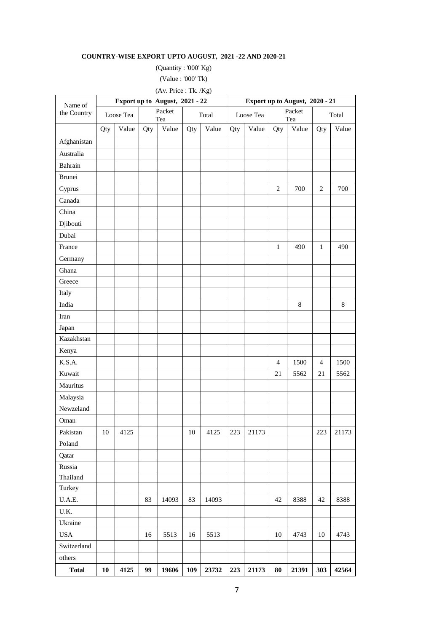#### **COUNTRY-WISE EXPORT UPTO AUGUST, 2021 -22 AND 2020-21**

(Quantity : '000' Kg)

(Value : '000' Tk)

| (Av. Price: Tk. /Kg)<br>Export up to August, 2021 - 22<br>Export up to August, 2020 - 21 |            |           |     |               |     |       |     |           |                |               |                |       |
|------------------------------------------------------------------------------------------|------------|-----------|-----|---------------|-----|-------|-----|-----------|----------------|---------------|----------------|-------|
| Name of                                                                                  |            |           |     |               |     |       |     |           |                |               |                |       |
| the Country                                                                              |            | Loose Tea |     | Packet<br>Tea |     | Total |     | Loose Tea |                | Packet<br>Tea |                | Total |
|                                                                                          | Qty        | Value     | Qty | Value         | Qty | Value | Qty | Value     | Qty            | Value         | Qty            | Value |
| Afghanistan                                                                              |            |           |     |               |     |       |     |           |                |               |                |       |
| Australia                                                                                |            |           |     |               |     |       |     |           |                |               |                |       |
| Bahrain                                                                                  |            |           |     |               |     |       |     |           |                |               |                |       |
| Brunei                                                                                   |            |           |     |               |     |       |     |           |                |               |                |       |
| Cyprus                                                                                   |            |           |     |               |     |       |     |           | $\overline{2}$ | 700           | $\overline{c}$ | 700   |
| Canada                                                                                   |            |           |     |               |     |       |     |           |                |               |                |       |
| China                                                                                    |            |           |     |               |     |       |     |           |                |               |                |       |
| Djibouti                                                                                 |            |           |     |               |     |       |     |           |                |               |                |       |
| Dubai                                                                                    |            |           |     |               |     |       |     |           |                |               |                |       |
| France                                                                                   |            |           |     |               |     |       |     |           | $\mathbf{1}$   | 490           | $\mathbf{1}$   | 490   |
| Germany                                                                                  |            |           |     |               |     |       |     |           |                |               |                |       |
| Ghana                                                                                    |            |           |     |               |     |       |     |           |                |               |                |       |
| Greece                                                                                   |            |           |     |               |     |       |     |           |                |               |                |       |
| Italy                                                                                    |            |           |     |               |     |       |     |           |                |               |                |       |
| India                                                                                    |            |           |     |               |     |       |     |           |                | $\,8\,$       |                | 8     |
| Iran                                                                                     |            |           |     |               |     |       |     |           |                |               |                |       |
| Japan                                                                                    |            |           |     |               |     |       |     |           |                |               |                |       |
| Kazakhstan                                                                               |            |           |     |               |     |       |     |           |                |               |                |       |
| Kenya                                                                                    |            |           |     |               |     |       |     |           |                |               |                |       |
| K.S.A.                                                                                   |            |           |     |               |     |       |     |           | $\overline{4}$ | 1500          | $\overline{4}$ | 1500  |
| Kuwait                                                                                   |            |           |     |               |     |       |     |           | 21             | 5562          | 21             | 5562  |
| Mauritus                                                                                 |            |           |     |               |     |       |     |           |                |               |                |       |
| Malaysia                                                                                 |            |           |     |               |     |       |     |           |                |               |                |       |
| Newzeland                                                                                |            |           |     |               |     |       |     |           |                |               |                |       |
| Oman                                                                                     |            |           |     |               |     |       |     |           |                |               |                |       |
| Pakistan                                                                                 | 10         | 4125      |     |               | 10  | 4125  | 223 | 21173     |                |               | 223            | 21173 |
| Poland                                                                                   |            |           |     |               |     |       |     |           |                |               |                |       |
| Qatar                                                                                    |            |           |     |               |     |       |     |           |                |               |                |       |
| Russia                                                                                   |            |           |     |               |     |       |     |           |                |               |                |       |
| Thailand                                                                                 |            |           |     |               |     |       |     |           |                |               |                |       |
| Turkey                                                                                   |            |           |     |               |     |       |     |           |                |               |                |       |
| U.A.E.                                                                                   |            |           | 83  | 14093         | 83  | 14093 |     |           | $42\,$         | 8388          | 42             | 8388  |
| $\rm U.K.$                                                                               |            |           |     |               |     |       |     |           |                |               |                |       |
| Ukraine                                                                                  |            |           |     |               |     |       |     |           |                |               |                |       |
| <b>USA</b>                                                                               |            |           | 16  | 5513          | 16  | 5513  |     |           | 10             | 4743          | 10             | 4743  |
| Switzerland                                                                              |            |           |     |               |     |       |     |           |                |               |                |       |
| others                                                                                   |            |           |     |               |     |       |     |           |                |               |                |       |
| <b>Total</b>                                                                             | ${\bf 10}$ | 4125      | 99  | 19606         | 109 | 23732 | 223 | 21173     | 80             | 21391         | 303            | 42564 |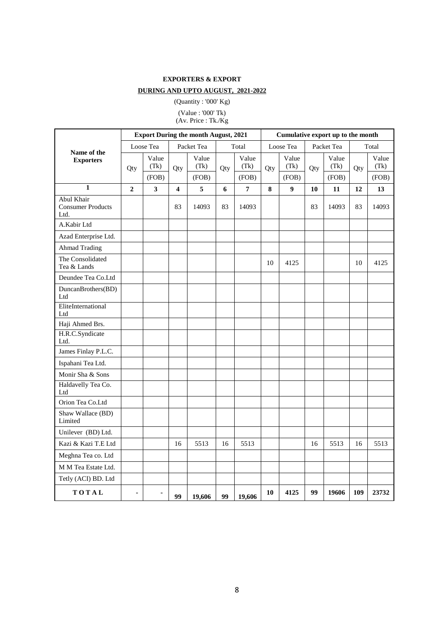#### **EXPORTERS & EXPORT**

#### **DURING AND UPTO AUGUST, 2021-2022**

(Quantity : '000' Kg) (Value : '000' Tk) (Av. Price : Tk./Kg

|                                                |                | <b>Export During the month August, 2021</b><br>Cumulative export up to the month |                         |               |     |               |     |               |     |               |     |               |
|------------------------------------------------|----------------|----------------------------------------------------------------------------------|-------------------------|---------------|-----|---------------|-----|---------------|-----|---------------|-----|---------------|
| Name of the                                    |                | Loose Tea                                                                        |                         | Packet Tea    |     | Total         |     | Loose Tea     |     | Packet Tea    |     | Total         |
| <b>Exporters</b>                               | Qty            | Value<br>(Tk)                                                                    | Qty                     | Value<br>(Tk) | Qty | Value<br>(Tk) | Qty | Value<br>(Tk) | Qty | Value<br>(Tk) | Qty | Value<br>(Tk) |
|                                                |                | (FOB)                                                                            |                         | (FOB)         |     | (FOB)         |     | (FOB)         |     | (FOB)         |     | (FOB)         |
| $\mathbf{1}$                                   | $\mathbf{2}$   | 3                                                                                | $\overline{\mathbf{4}}$ | 5             | 6   | 7             | 8   | 9             | 10  | 11            | 12  | 13            |
| Abul Khair<br><b>Consumer Products</b><br>Ltd. |                |                                                                                  | 83                      | 14093         | 83  | 14093         |     |               | 83  | 14093         | 83  | 14093         |
| A.Kabir Ltd                                    |                |                                                                                  |                         |               |     |               |     |               |     |               |     |               |
| Azad Enterprise Ltd.                           |                |                                                                                  |                         |               |     |               |     |               |     |               |     |               |
| <b>Ahmad Trading</b>                           |                |                                                                                  |                         |               |     |               |     |               |     |               |     |               |
| The Consolidated<br>Tea & Lands                |                |                                                                                  |                         |               |     |               | 10  | 4125          |     |               | 10  | 4125          |
| Deundee Tea Co.Ltd                             |                |                                                                                  |                         |               |     |               |     |               |     |               |     |               |
| DuncanBrothers(BD)<br>Ltd                      |                |                                                                                  |                         |               |     |               |     |               |     |               |     |               |
| EliteInternational<br>Ltd                      |                |                                                                                  |                         |               |     |               |     |               |     |               |     |               |
| Haji Ahmed Brs.                                |                |                                                                                  |                         |               |     |               |     |               |     |               |     |               |
| H.R.C.Syndicate<br>Ltd.                        |                |                                                                                  |                         |               |     |               |     |               |     |               |     |               |
| James Finlay P.L.C.                            |                |                                                                                  |                         |               |     |               |     |               |     |               |     |               |
| Ispahani Tea Ltd.                              |                |                                                                                  |                         |               |     |               |     |               |     |               |     |               |
| Monir Sha & Sons                               |                |                                                                                  |                         |               |     |               |     |               |     |               |     |               |
| Haldavelly Tea Co.<br>Ltd                      |                |                                                                                  |                         |               |     |               |     |               |     |               |     |               |
| Orion Tea Co.Ltd                               |                |                                                                                  |                         |               |     |               |     |               |     |               |     |               |
| Shaw Wallace (BD)<br>Limited                   |                |                                                                                  |                         |               |     |               |     |               |     |               |     |               |
| Unilever (BD) Ltd.                             |                |                                                                                  |                         |               |     |               |     |               |     |               |     |               |
| Kazi & Kazi T.E Ltd                            |                |                                                                                  | 16                      | 5513          | 16  | 5513          |     |               | 16  | 5513          | 16  | 5513          |
| Meghna Tea co. Ltd                             |                |                                                                                  |                         |               |     |               |     |               |     |               |     |               |
| M M Tea Estate Ltd.                            |                |                                                                                  |                         |               |     |               |     |               |     |               |     |               |
| Tetly (ACI) BD. Ltd                            |                |                                                                                  |                         |               |     |               |     |               |     |               |     |               |
| TOTAL                                          | $\blacksquare$ |                                                                                  | 99                      | 19,606        | 99  | 19,606        | 10  | 4125          | 99  | 19606         | 109 | 23732         |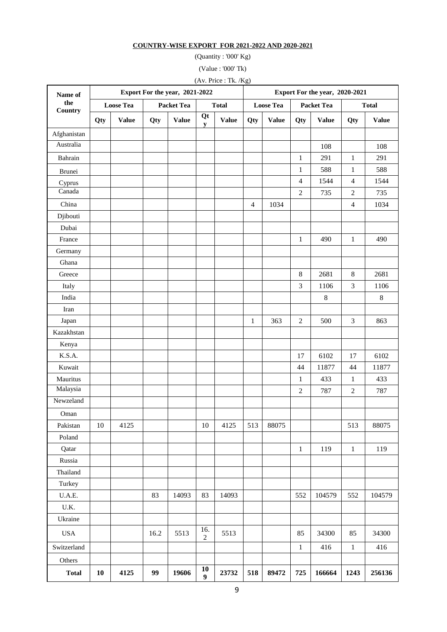#### **COUNTRY-WISE EXPORT FOR 2021-2022 AND 2020-2021**

(Quantity : '000' Kg)

(Value : '000' Tk)

(Av. Price : Tk. /Kg)

| Name of<br>the<br>Country |                  |              |      | Export For the year, 2021-2022    |                       |              | Export For the year, 2020-2021 |                  |                |                   |                  |              |  |
|---------------------------|------------------|--------------|------|-----------------------------------|-----------------------|--------------|--------------------------------|------------------|----------------|-------------------|------------------|--------------|--|
|                           | <b>Loose Tea</b> |              |      | <b>Total</b><br><b>Packet Tea</b> |                       |              |                                | <b>Loose Tea</b> |                | <b>Packet Tea</b> | <b>Total</b>     |              |  |
|                           | Qty              | <b>Value</b> | Qty  | <b>Value</b>                      | Qt<br>${\bf y}$       | <b>Value</b> | Qty                            | <b>Value</b>     | Qty            | <b>Value</b>      | Qty              | <b>Value</b> |  |
| Afghanistan               |                  |              |      |                                   |                       |              |                                |                  |                |                   |                  |              |  |
| Australia                 |                  |              |      |                                   |                       |              |                                |                  |                | 108               |                  | 108          |  |
| Bahrain                   |                  |              |      |                                   |                       |              |                                |                  | $\mathbf{1}$   | 291               | $\mathbf{1}$     | 291          |  |
| Brunei                    |                  |              |      |                                   |                       |              |                                |                  | $\mathbf{1}$   | 588               | $\mathbf{1}$     | 588          |  |
| Cyprus                    |                  |              |      |                                   |                       |              |                                |                  | $\overline{4}$ | 1544              | $\overline{4}$   | 1544         |  |
| Canada                    |                  |              |      |                                   |                       |              |                                |                  | $\overline{2}$ | 735               | $\overline{2}$   | 735          |  |
| China                     |                  |              |      |                                   |                       |              | $\overline{4}$                 | 1034             |                |                   | $\overline{4}$   | 1034         |  |
| Djibouti                  |                  |              |      |                                   |                       |              |                                |                  |                |                   |                  |              |  |
| Dubai                     |                  |              |      |                                   |                       |              |                                |                  |                |                   |                  |              |  |
| France                    |                  |              |      |                                   |                       |              |                                |                  | $\mathbf{1}$   | 490               | $\mathbf{1}$     | 490          |  |
| Germany                   |                  |              |      |                                   |                       |              |                                |                  |                |                   |                  |              |  |
| Ghana                     |                  |              |      |                                   |                       |              |                                |                  |                |                   |                  |              |  |
| Greece                    |                  |              |      |                                   |                       |              |                                |                  | $\,8\,$        | 2681              | $\,8\,$          | 2681         |  |
| Italy                     |                  |              |      |                                   |                       |              |                                |                  | $\mathfrak{Z}$ | 1106              | 3                | 1106         |  |
| India                     |                  |              |      |                                   |                       |              |                                |                  |                | $\,$ 8 $\,$       |                  | $\,8\,$      |  |
| Iran                      |                  |              |      |                                   |                       |              |                                |                  |                |                   |                  |              |  |
| Japan                     |                  |              |      |                                   |                       |              | $\mathbf{1}$                   | 363              | $\sqrt{2}$     | 500               | 3                | 863          |  |
| Kazakhstan                |                  |              |      |                                   |                       |              |                                |                  |                |                   |                  |              |  |
| Kenya                     |                  |              |      |                                   |                       |              |                                |                  |                |                   |                  |              |  |
| K.S.A.                    |                  |              |      |                                   |                       |              |                                |                  | 17             | 6102              | 17               | 6102         |  |
| Kuwait                    |                  |              |      |                                   |                       |              |                                |                  | 44             | 11877             | 44               | 11877        |  |
| Mauritus                  |                  |              |      |                                   |                       |              |                                |                  | $\mathbf{1}$   | 433               | $\mathbf{1}$     | 433          |  |
| Malaysia                  |                  |              |      |                                   |                       |              |                                |                  | $\overline{2}$ | 787               | $\boldsymbol{2}$ | 787          |  |
| Newzeland                 |                  |              |      |                                   |                       |              |                                |                  |                |                   |                  |              |  |
| Oman                      |                  |              |      |                                   |                       |              |                                |                  |                |                   |                  |              |  |
| Pakistan                  | 10               | 4125         |      |                                   | 10                    | 4125         | 513                            | 88075            |                |                   | 513              | 88075        |  |
| Poland                    |                  |              |      |                                   |                       |              |                                |                  |                |                   |                  |              |  |
| Qatar                     |                  |              |      |                                   |                       |              |                                |                  | $\mathbf{1}$   | 119               | $1\,$            | 119          |  |
| Russia                    |                  |              |      |                                   |                       |              |                                |                  |                |                   |                  |              |  |
| Thailand                  |                  |              |      |                                   |                       |              |                                |                  |                |                   |                  |              |  |
| Turkey                    |                  |              |      |                                   |                       |              |                                |                  |                |                   |                  |              |  |
| U.A.E.                    |                  |              | 83   | 14093                             | 83                    | 14093        |                                |                  | 552            | 104579            | 552              | 104579       |  |
| U.K.                      |                  |              |      |                                   |                       |              |                                |                  |                |                   |                  |              |  |
| Ukraine                   |                  |              |      |                                   |                       |              |                                |                  |                |                   |                  |              |  |
| <b>USA</b>                |                  |              | 16.2 | 5513                              | 16.<br>$\overline{c}$ | 5513         |                                |                  | 85             | 34300             | 85               | 34300        |  |
| Switzerland               |                  |              |      |                                   |                       |              |                                |                  | $\mathbf{1}$   | 416               | $\mathbf{1}$     | 416          |  |
| Others                    |                  |              |      |                                   |                       |              |                                |                  |                |                   |                  |              |  |
| <b>Total</b>              | 10               | 4125         | 99   | 19606                             | 10<br>9               | 23732        | 518                            | 89472            | 725            | 166664            | 1243             | 256136       |  |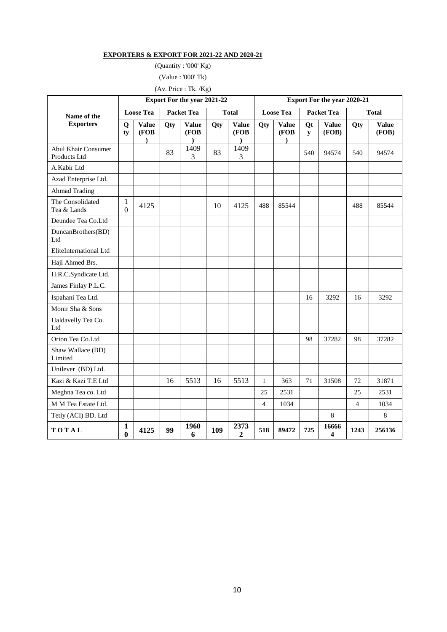#### **EXPORTERS & EXPORT FOR 2021-22 AND 2020-21**

(Quantity : '000' Kg)

(Value : '000' Tk)

# (Av. Price : Tk. /Kg)

|                                            | <b>Export For the year 2021-22</b> |                                    |                   |                                   |              |                            | <b>Export For the year 2020-21</b> |                                   |                   |                       |                |                       |
|--------------------------------------------|------------------------------------|------------------------------------|-------------------|-----------------------------------|--------------|----------------------------|------------------------------------|-----------------------------------|-------------------|-----------------------|----------------|-----------------------|
| Name of the                                | <b>Loose Tea</b>                   |                                    | <b>Packet Tea</b> |                                   | <b>Total</b> |                            | <b>Loose Tea</b>                   |                                   | <b>Packet Tea</b> |                       | <b>Total</b>   |                       |
| <b>Exporters</b>                           | Q<br>ty                            | <b>Value</b><br>(FOB)<br>$\lambda$ | Qty               | <b>Value</b><br>(FOB<br>$\lambda$ | Qty          | <b>Value</b><br>(FOB<br>Δ. | Qty                                | <b>Value</b><br>(FOB<br>$\lambda$ | Qt<br>${\bf v}$   | <b>Value</b><br>(FOB) | Qty            | <b>Value</b><br>(FOB) |
| <b>Abul Khair Consumer</b><br>Products Ltd |                                    |                                    | 83                | 1409<br>3                         | 83           | 1409<br>3                  |                                    |                                   | 540               | 94574                 | 540            | 94574                 |
| A.Kabir Ltd                                |                                    |                                    |                   |                                   |              |                            |                                    |                                   |                   |                       |                |                       |
| Azad Enterprise Ltd.                       |                                    |                                    |                   |                                   |              |                            |                                    |                                   |                   |                       |                |                       |
| <b>Ahmad Trading</b>                       |                                    |                                    |                   |                                   |              |                            |                                    |                                   |                   |                       |                |                       |
| The Consolidated<br>Tea & Lands            | 1<br>$\mathbf{0}$                  | 4125                               |                   |                                   | 10           | 4125                       | 488                                | 85544                             |                   |                       | 488            | 85544                 |
| Deundee Tea Co.Ltd                         |                                    |                                    |                   |                                   |              |                            |                                    |                                   |                   |                       |                |                       |
| DuncanBrothers(BD)<br>Ltd                  |                                    |                                    |                   |                                   |              |                            |                                    |                                   |                   |                       |                |                       |
| EliteInternational Ltd                     |                                    |                                    |                   |                                   |              |                            |                                    |                                   |                   |                       |                |                       |
| Haji Ahmed Brs.                            |                                    |                                    |                   |                                   |              |                            |                                    |                                   |                   |                       |                |                       |
| H.R.C.Syndicate Ltd.                       |                                    |                                    |                   |                                   |              |                            |                                    |                                   |                   |                       |                |                       |
| James Finlay P.L.C.                        |                                    |                                    |                   |                                   |              |                            |                                    |                                   |                   |                       |                |                       |
| Ispahani Tea Ltd.                          |                                    |                                    |                   |                                   |              |                            |                                    |                                   | 16                | 3292                  | 16             | 3292                  |
| Monir Sha & Sons                           |                                    |                                    |                   |                                   |              |                            |                                    |                                   |                   |                       |                |                       |
| Haldavelly Tea Co.<br>Ltd                  |                                    |                                    |                   |                                   |              |                            |                                    |                                   |                   |                       |                |                       |
| Orion Tea Co.Ltd                           |                                    |                                    |                   |                                   |              |                            |                                    |                                   | 98                | 37282                 | 98             | 37282                 |
| Shaw Wallace (BD)<br>Limited               |                                    |                                    |                   |                                   |              |                            |                                    |                                   |                   |                       |                |                       |
| Unilever (BD) Ltd.                         |                                    |                                    |                   |                                   |              |                            |                                    |                                   |                   |                       |                |                       |
| Kazi & Kazi T.E Ltd                        |                                    |                                    | 16                | 5513                              | 16           | 5513                       | 1                                  | 363                               | 71                | 31508                 | 72             | 31871                 |
| Meghna Tea co. Ltd                         |                                    |                                    |                   |                                   |              |                            | 25                                 | 2531                              |                   |                       | 25             | 2531                  |
| M M Tea Estate Ltd.                        |                                    |                                    |                   |                                   |              |                            | $\overline{4}$                     | 1034                              |                   |                       | $\overline{4}$ | 1034                  |
| Tetly (ACI) BD. Ltd                        |                                    |                                    |                   |                                   |              |                            |                                    |                                   |                   | 8                     |                | 8                     |
| TOTAL                                      | $\mathbf{1}$<br>$\bf{0}$           | 4125                               | 99                | 1960<br>6                         | 109          | 2373<br>2                  | 518                                | 89472                             | 725               | 16666<br>4            | 1243           | 256136                |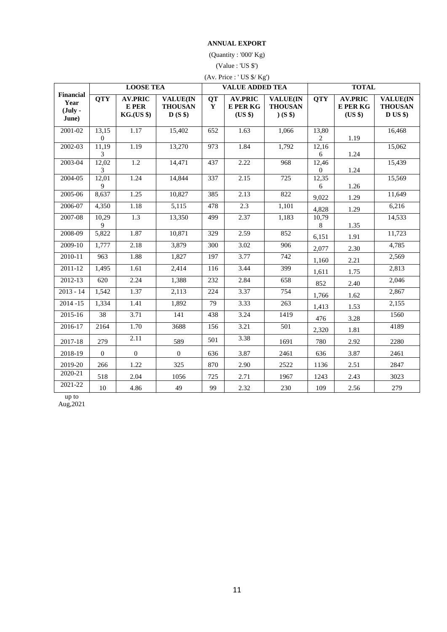#### **ANNUAL EXPORT**

(Quantity : '000' Kg)

(Value : 'US \$')

| (Av. Price : 'US \$/ Kg')                               |                       |                                              |                                              |                  |                                              |                                                        |                           |                                       |                                              |  |  |
|---------------------------------------------------------|-----------------------|----------------------------------------------|----------------------------------------------|------------------|----------------------------------------------|--------------------------------------------------------|---------------------------|---------------------------------------|----------------------------------------------|--|--|
|                                                         |                       | <b>LOOSE TEA</b>                             |                                              |                  | <b>VALUE ADDED TEA</b>                       |                                                        | <b>TOTAL</b>              |                                       |                                              |  |  |
| <b>Financial</b><br>Year<br>$(\mathbf{July} -$<br>June) | <b>QTY</b>            | <b>AV.PRIC</b><br>E PER<br><b>KG.(US \$)</b> | <b>VALUE(IN</b><br><b>THOUSAN</b><br>$D(S \$ | <b>QT</b><br>Y   | <b>AV.PRIC</b><br><b>E PER KG</b><br>(US \$) | <b>VALUE(IN</b><br><b>THOUSAN</b><br>(S <sup>§</sup> ) | <b>QTY</b>                | <b>AV.PRIC</b><br>E PER KG<br>(US \$) | <b>VALUE(IN</b><br><b>THOUSAN</b><br>D US \$ |  |  |
| 2001-02                                                 | 13,15<br>$\mathbf{0}$ | 1.17                                         | 15,402                                       | 652              | 1.63                                         | 1,066                                                  | 13,80<br>$\overline{2}$   | 1.19                                  | 16,468                                       |  |  |
| 2002-03                                                 | 11,19<br>3            | 1.19                                         | 13,270                                       | 973              | 1.84                                         | 1,792                                                  | 12,16<br>6                | 1.24                                  | 15,062                                       |  |  |
| 2003-04                                                 | 12,02<br>3            | 1.2                                          | 14,471                                       | 437              | 2.22                                         | 968                                                    | 12,46<br>$\boldsymbol{0}$ | 1.24                                  | 15,439                                       |  |  |
| 2004-05                                                 | 12,01<br>9            | 1.24                                         | 14,844                                       | 337              | 2.15                                         | 725                                                    | 12,35<br>6                | 1.26                                  | 15,569                                       |  |  |
| 2005-06                                                 | 8,637                 | 1.25                                         | 10,827                                       | 385              | 2.13                                         | 822                                                    | 9,022                     | 1.29                                  | 11,649                                       |  |  |
| 2006-07                                                 | 4,350                 | 1.18                                         | 5,115                                        | 478              | 2.3                                          | 1,101                                                  | 4,828                     | 1.29                                  | 6,216                                        |  |  |
| 2007-08                                                 | 10,29<br>9            | $\overline{1.3}$                             | 13,350                                       | 499              | 2.37                                         | 1,183                                                  | 10,79<br>8                | 1.35                                  | 14,533                                       |  |  |
| 2008-09                                                 | 5,822                 | 1.87                                         | 10,871                                       | 329              | 2.59                                         | 852                                                    | 6,151                     | 1.91                                  | 11,723                                       |  |  |
| 2009-10                                                 | 1,777                 | 2.18                                         | 3,879                                        | $\overline{300}$ | 3.02                                         | $\overline{906}$                                       | 2,077                     | 2.30                                  | 4,785                                        |  |  |
| $2010 - 11$                                             | 963                   | 1.88                                         | 1,827                                        | 197              | 3.77                                         | $\overline{742}$                                       | 1,160                     | 2.21                                  | 2,569                                        |  |  |
| 2011-12                                                 | 1,495                 | 1.61                                         | 2,414                                        | 116              | 3.44                                         | 399                                                    | 1,611                     | 1.75                                  | 2,813                                        |  |  |
| 2012-13                                                 | 620                   | 2.24                                         | 1,388                                        | 232              | 2.84                                         | 658                                                    | 852                       | 2.40                                  | 2,046                                        |  |  |
| $2013 - 14$                                             | 1,542                 | 1.37                                         | 2,113                                        | 224              | 3.37                                         | 754                                                    | 1,766                     | 1.62                                  | 2,867                                        |  |  |
| $2014 - 15$                                             | 1,334                 | 1.41                                         | 1,892                                        | 79               | 3.33                                         | 263                                                    | 1,413                     | 1.53                                  | 2,155                                        |  |  |
| $2015 - 16$                                             | 38                    | 3.71                                         | 141                                          | 438              | 3.24                                         | 1419                                                   | 476                       | 3.28                                  | 1560                                         |  |  |
| 2016-17                                                 | 2164                  | 1.70                                         | 3688                                         | 156              | 3.21                                         | 501                                                    | 2,320                     | 1.81                                  | 4189                                         |  |  |
| 2017-18                                                 | 279                   | 2.11                                         | 589                                          | 501              | 3.38                                         | 1691                                                   | 780                       | 2.92                                  | 2280                                         |  |  |
| 2018-19                                                 | $\mathbf{0}$          | $\boldsymbol{0}$                             | $\mathbf{0}$                                 | 636              | 3.87                                         | 2461                                                   | 636                       | 3.87                                  | 2461                                         |  |  |
| 2019-20                                                 | 266                   | 1.22                                         | 325                                          | 870              | 2.90                                         | 2522                                                   | 1136                      | 2.51                                  | 2847                                         |  |  |
| 2020-21                                                 | 518                   | 2.04                                         | 1056                                         | 725              | 2.71                                         | 1967                                                   | 1243                      | 2.43                                  | 3023                                         |  |  |
| 2021-22                                                 | $10\,$                | 4.86                                         | 49                                           | 99               | 2.32                                         | 230                                                    | 109                       | 2.56                                  | 279                                          |  |  |

up to Aug,2021